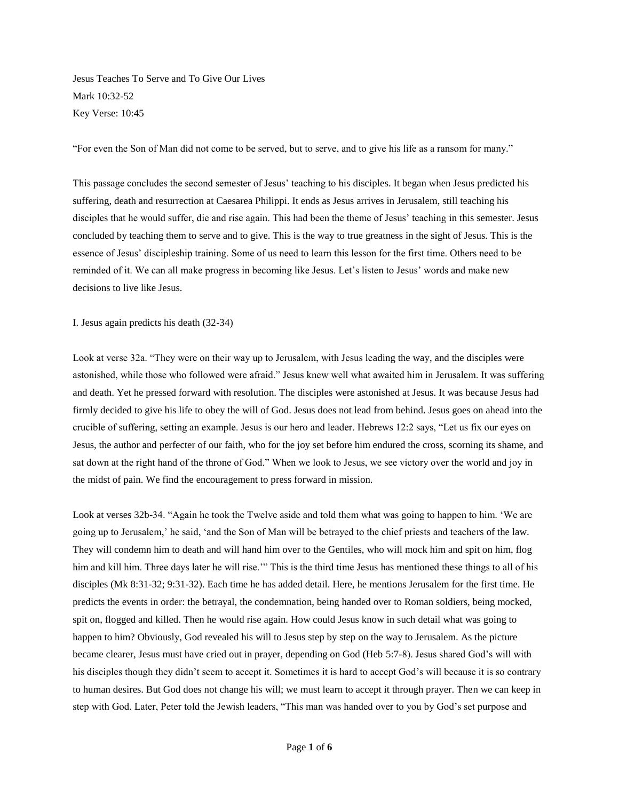Jesus Teaches To Serve and To Give Our Lives Mark 10:32-52 Key Verse: 10:45

"For even the Son of Man did not come to be served, but to serve, and to give his life as a ransom for many."

This passage concludes the second semester of Jesus" teaching to his disciples. It began when Jesus predicted his suffering, death and resurrection at Caesarea Philippi. It ends as Jesus arrives in Jerusalem, still teaching his disciples that he would suffer, die and rise again. This had been the theme of Jesus' teaching in this semester. Jesus concluded by teaching them to serve and to give. This is the way to true greatness in the sight of Jesus. This is the essence of Jesus" discipleship training. Some of us need to learn this lesson for the first time. Others need to be reminded of it. We can all make progress in becoming like Jesus. Let"s listen to Jesus" words and make new decisions to live like Jesus.

I. Jesus again predicts his death (32-34)

Look at verse 32a. "They were on their way up to Jerusalem, with Jesus leading the way, and the disciples were astonished, while those who followed were afraid." Jesus knew well what awaited him in Jerusalem. It was suffering and death. Yet he pressed forward with resolution. The disciples were astonished at Jesus. It was because Jesus had firmly decided to give his life to obey the will of God. Jesus does not lead from behind. Jesus goes on ahead into the crucible of suffering, setting an example. Jesus is our hero and leader. Hebrews 12:2 says, "Let us fix our eyes on Jesus, the author and perfecter of our faith, who for the joy set before him endured the cross, scorning its shame, and sat down at the right hand of the throne of God." When we look to Jesus, we see victory over the world and joy in the midst of pain. We find the encouragement to press forward in mission.

Look at verses 32b-34. "Again he took the Twelve aside and told them what was going to happen to him. "We are going up to Jerusalem," he said, "and the Son of Man will be betrayed to the chief priests and teachers of the law. They will condemn him to death and will hand him over to the Gentiles, who will mock him and spit on him, flog him and kill him. Three days later he will rise."" This is the third time Jesus has mentioned these things to all of his disciples (Mk 8:31-32; 9:31-32). Each time he has added detail. Here, he mentions Jerusalem for the first time. He predicts the events in order: the betrayal, the condemnation, being handed over to Roman soldiers, being mocked, spit on, flogged and killed. Then he would rise again. How could Jesus know in such detail what was going to happen to him? Obviously, God revealed his will to Jesus step by step on the way to Jerusalem. As the picture became clearer, Jesus must have cried out in prayer, depending on God (Heb 5:7-8). Jesus shared God"s will with his disciples though they didn't seem to accept it. Sometimes it is hard to accept God's will because it is so contrary to human desires. But God does not change his will; we must learn to accept it through prayer. Then we can keep in step with God. Later, Peter told the Jewish leaders, "This man was handed over to you by God"s set purpose and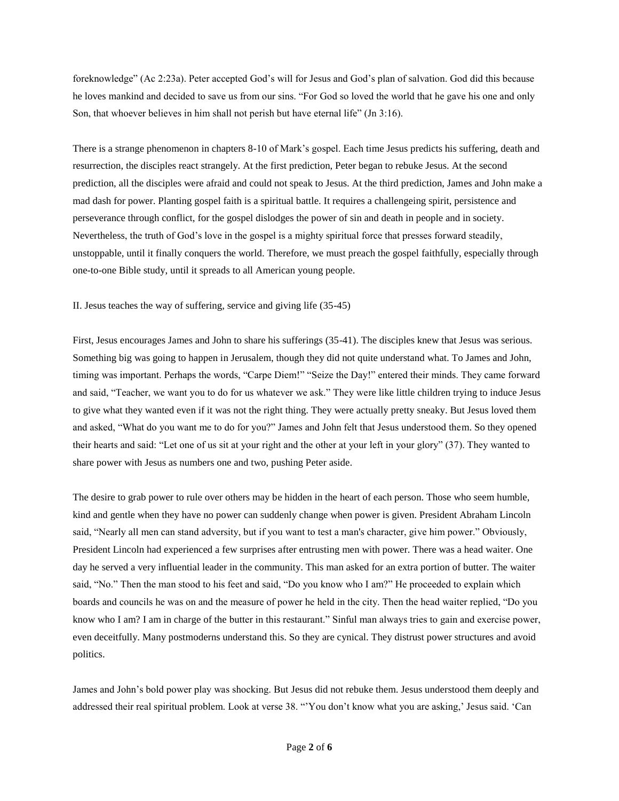foreknowledge" (Ac 2:23a). Peter accepted God"s will for Jesus and God"s plan of salvation. God did this because he loves mankind and decided to save us from our sins. "For God so loved the world that he gave his one and only Son, that whoever believes in him shall not perish but have eternal life" (Jn 3:16).

There is a strange phenomenon in chapters 8-10 of Mark"s gospel. Each time Jesus predicts his suffering, death and resurrection, the disciples react strangely. At the first prediction, Peter began to rebuke Jesus. At the second prediction, all the disciples were afraid and could not speak to Jesus. At the third prediction, James and John make a mad dash for power. Planting gospel faith is a spiritual battle. It requires a challengeing spirit, persistence and perseverance through conflict, for the gospel dislodges the power of sin and death in people and in society. Nevertheless, the truth of God"s love in the gospel is a mighty spiritual force that presses forward steadily, unstoppable, until it finally conquers the world. Therefore, we must preach the gospel faithfully, especially through one-to-one Bible study, until it spreads to all American young people.

II. Jesus teaches the way of suffering, service and giving life (35-45)

First, Jesus encourages James and John to share his sufferings (35-41). The disciples knew that Jesus was serious. Something big was going to happen in Jerusalem, though they did not quite understand what. To James and John, timing was important. Perhaps the words, "Carpe Diem!" "Seize the Day!" entered their minds. They came forward and said, "Teacher, we want you to do for us whatever we ask." They were like little children trying to induce Jesus to give what they wanted even if it was not the right thing. They were actually pretty sneaky. But Jesus loved them and asked, "What do you want me to do for you?" James and John felt that Jesus understood them. So they opened their hearts and said: "Let one of us sit at your right and the other at your left in your glory" (37). They wanted to share power with Jesus as numbers one and two, pushing Peter aside.

The desire to grab power to rule over others may be hidden in the heart of each person. Those who seem humble, kind and gentle when they have no power can suddenly change when power is given. President Abraham Lincoln said, "Nearly all men can stand adversity, but if you want to test a man's character, give him power." Obviously, President Lincoln had experienced a few surprises after entrusting men with power. There was a head waiter. One day he served a very influential leader in the community. This man asked for an extra portion of butter. The waiter said, "No." Then the man stood to his feet and said, "Do you know who I am?" He proceeded to explain which boards and councils he was on and the measure of power he held in the city. Then the head waiter replied, "Do you know who I am? I am in charge of the butter in this restaurant." Sinful man always tries to gain and exercise power, even deceitfully. Many postmoderns understand this. So they are cynical. They distrust power structures and avoid politics.

James and John"s bold power play was shocking. But Jesus did not rebuke them. Jesus understood them deeply and addressed their real spiritual problem. Look at verse 38. ""You don"t know what you are asking," Jesus said. "Can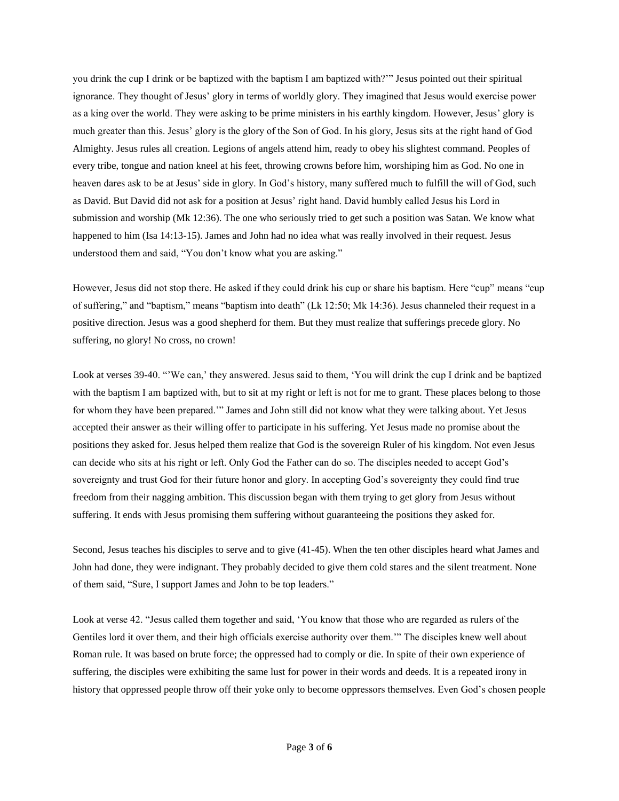you drink the cup I drink or be baptized with the baptism I am baptized with?"" Jesus pointed out their spiritual ignorance. They thought of Jesus" glory in terms of worldly glory. They imagined that Jesus would exercise power as a king over the world. They were asking to be prime ministers in his earthly kingdom. However, Jesus" glory is much greater than this. Jesus" glory is the glory of the Son of God. In his glory, Jesus sits at the right hand of God Almighty. Jesus rules all creation. Legions of angels attend him, ready to obey his slightest command. Peoples of every tribe, tongue and nation kneel at his feet, throwing crowns before him, worshiping him as God. No one in heaven dares ask to be at Jesus' side in glory. In God's history, many suffered much to fulfill the will of God, such as David. But David did not ask for a position at Jesus" right hand. David humbly called Jesus his Lord in submission and worship (Mk 12:36). The one who seriously tried to get such a position was Satan. We know what happened to him (Isa 14:13-15). James and John had no idea what was really involved in their request. Jesus understood them and said, "You don"t know what you are asking."

However, Jesus did not stop there. He asked if they could drink his cup or share his baptism. Here "cup" means "cup of suffering," and "baptism," means "baptism into death" (Lk 12:50; Mk 14:36). Jesus channeled their request in a positive direction. Jesus was a good shepherd for them. But they must realize that sufferings precede glory. No suffering, no glory! No cross, no crown!

Look at verses 39-40. "We can,' they answered. Jesus said to them, 'You will drink the cup I drink and be baptized with the baptism I am baptized with, but to sit at my right or left is not for me to grant. These places belong to those for whom they have been prepared."" James and John still did not know what they were talking about. Yet Jesus accepted their answer as their willing offer to participate in his suffering. Yet Jesus made no promise about the positions they asked for. Jesus helped them realize that God is the sovereign Ruler of his kingdom. Not even Jesus can decide who sits at his right or left. Only God the Father can do so. The disciples needed to accept God"s sovereignty and trust God for their future honor and glory. In accepting God's sovereignty they could find true freedom from their nagging ambition. This discussion began with them trying to get glory from Jesus without suffering. It ends with Jesus promising them suffering without guaranteeing the positions they asked for.

Second, Jesus teaches his disciples to serve and to give (41-45). When the ten other disciples heard what James and John had done, they were indignant. They probably decided to give them cold stares and the silent treatment. None of them said, "Sure, I support James and John to be top leaders."

Look at verse 42. "Jesus called them together and said, "You know that those who are regarded as rulers of the Gentiles lord it over them, and their high officials exercise authority over them."" The disciples knew well about Roman rule. It was based on brute force; the oppressed had to comply or die. In spite of their own experience of suffering, the disciples were exhibiting the same lust for power in their words and deeds. It is a repeated irony in history that oppressed people throw off their yoke only to become oppressors themselves. Even God's chosen people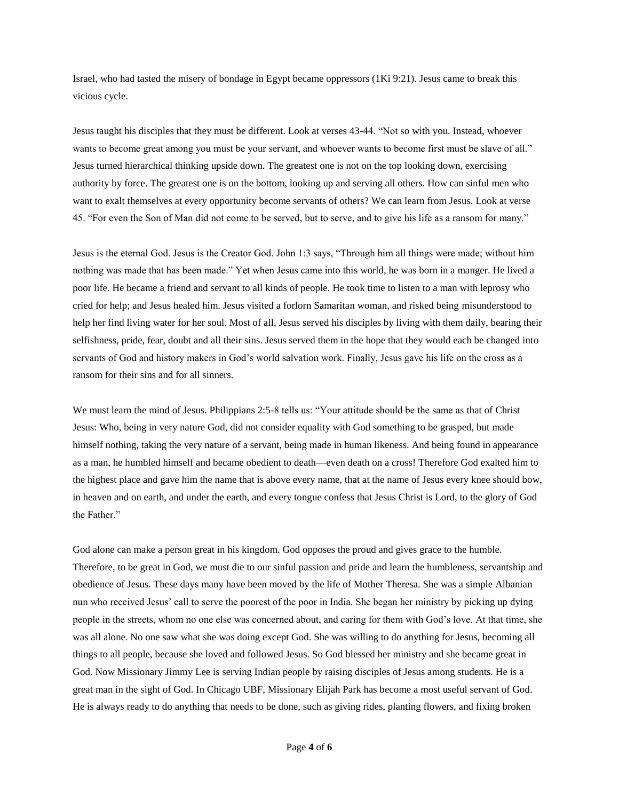Israel, who had tasted the misery of bondage in Egypt became oppressors (1Ki 9:21). Jesus came to break this vicious cycle.

Jesus taught his disciples that they must be different. Look at verses 43-44. "Not so with you. Instead, whoever wants to become great among you must be your servant, and whoever wants to become first must be slave of all." Jesus turned hierarchical thinking upside down. The greatest one is not on the top looking down, exercising authority by force. The greatest one is on the bottom, looking up and serving all others. How can sinful men who want to exalt themselves at every opportunity become servants of others? We can learn from Jesus. Look at verse 45. "For even the Son of Man did not come to be served, but to serve, and to give his life as a ransom for many."

Jesus is the eternal God. Jesus is the Creator God. John 1:3 says, "Through him all things were made; without him nothing was made that has been made." Yet when Jesus came into this world, he was born in a manger. He lived a poor life. He became a friend and servant to all kinds of people. He took time to listen to a man with leprosy who cried for help; and Jesus healed him. Jesus visited a forlorn Samaritan woman, and risked being misunderstood to help her find living water for her soul. Most of all, Jesus served his disciples by living with them daily, bearing their selfishness, pride, fear, doubt and all their sins. Jesus served them in the hope that they would each be changed into servants of God and history makers in God"s world salvation work. Finally, Jesus gave his life on the cross as a ransom for their sins and for all sinners.

We must learn the mind of Jesus. Philippians 2:5-8 tells us: "Your attitude should be the same as that of Christ Jesus: Who, being in very nature God, did not consider equality with God something to be grasped, but made himself nothing, taking the very nature of a servant, being made in human likeness. And being found in appearance as a man, he humbled himself and became obedient to death—even death on a cross! Therefore God exalted him to the highest place and gave him the name that is above every name, that at the name of Jesus every knee should bow, in heaven and on earth, and under the earth, and every tongue confess that Jesus Christ is Lord, to the glory of God the Father."

God alone can make a person great in his kingdom. God opposes the proud and gives grace to the humble. Therefore, to be great in God, we must die to our sinful passion and pride and learn the humbleness, servantship and obedience of Jesus. These days many have been moved by the life of Mother Theresa. She was a simple Albanian nun who received Jesus" call to serve the poorest of the poor in India. She began her ministry by picking up dying people in the streets, whom no one else was concerned about, and caring for them with God"s love. At that time, she was all alone. No one saw what she was doing except God. She was willing to do anything for Jesus, becoming all things to all people, because she loved and followed Jesus. So God blessed her ministry and she became great in God. Now Missionary Jimmy Lee is serving Indian people by raising disciples of Jesus among students. He is a great man in the sight of God. In Chicago UBF, Missionary Elijah Park has become a most useful servant of God. He is always ready to do anything that needs to be done, such as giving rides, planting flowers, and fixing broken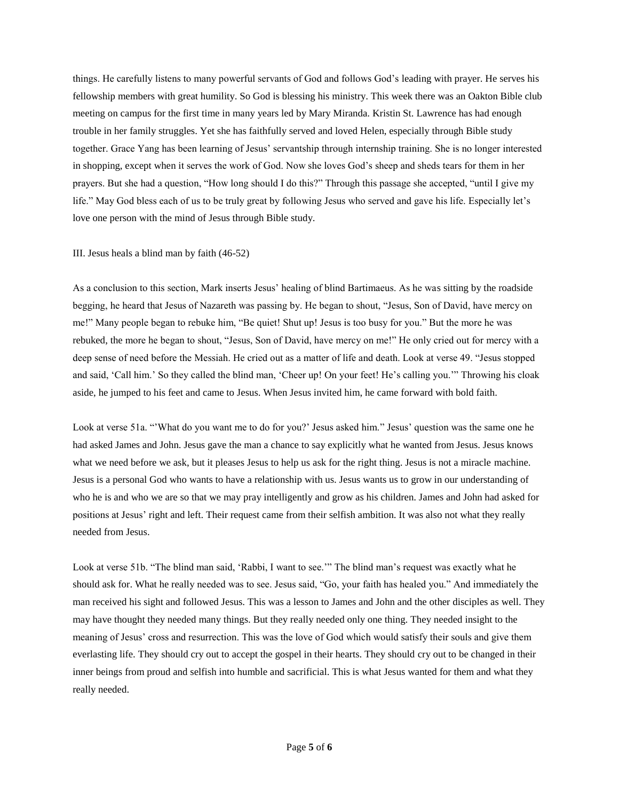things. He carefully listens to many powerful servants of God and follows God"s leading with prayer. He serves his fellowship members with great humility. So God is blessing his ministry. This week there was an Oakton Bible club meeting on campus for the first time in many years led by Mary Miranda. Kristin St. Lawrence has had enough trouble in her family struggles. Yet she has faithfully served and loved Helen, especially through Bible study together. Grace Yang has been learning of Jesus" servantship through internship training. She is no longer interested in shopping, except when it serves the work of God. Now she loves God"s sheep and sheds tears for them in her prayers. But she had a question, "How long should I do this?" Through this passage she accepted, "until I give my life." May God bless each of us to be truly great by following Jesus who served and gave his life. Especially let's love one person with the mind of Jesus through Bible study.

## III. Jesus heals a blind man by faith (46-52)

As a conclusion to this section, Mark inserts Jesus" healing of blind Bartimaeus. As he was sitting by the roadside begging, he heard that Jesus of Nazareth was passing by. He began to shout, "Jesus, Son of David, have mercy on me!" Many people began to rebuke him, "Be quiet! Shut up! Jesus is too busy for you." But the more he was rebuked, the more he began to shout, "Jesus, Son of David, have mercy on me!" He only cried out for mercy with a deep sense of need before the Messiah. He cried out as a matter of life and death. Look at verse 49. "Jesus stopped and said, 'Call him.' So they called the blind man, 'Cheer up! On your feet! He's calling you.'" Throwing his cloak aside, he jumped to his feet and came to Jesus. When Jesus invited him, he came forward with bold faith.

Look at verse 51a. "'What do you want me to do for you?' Jesus asked him." Jesus' question was the same one he had asked James and John. Jesus gave the man a chance to say explicitly what he wanted from Jesus. Jesus knows what we need before we ask, but it pleases Jesus to help us ask for the right thing. Jesus is not a miracle machine. Jesus is a personal God who wants to have a relationship with us. Jesus wants us to grow in our understanding of who he is and who we are so that we may pray intelligently and grow as his children. James and John had asked for positions at Jesus" right and left. Their request came from their selfish ambition. It was also not what they really needed from Jesus.

Look at verse 51b. "The blind man said, "Rabbi, I want to see."" The blind man"s request was exactly what he should ask for. What he really needed was to see. Jesus said, "Go, your faith has healed you." And immediately the man received his sight and followed Jesus. This was a lesson to James and John and the other disciples as well. They may have thought they needed many things. But they really needed only one thing. They needed insight to the meaning of Jesus' cross and resurrection. This was the love of God which would satisfy their souls and give them everlasting life. They should cry out to accept the gospel in their hearts. They should cry out to be changed in their inner beings from proud and selfish into humble and sacrificial. This is what Jesus wanted for them and what they really needed.